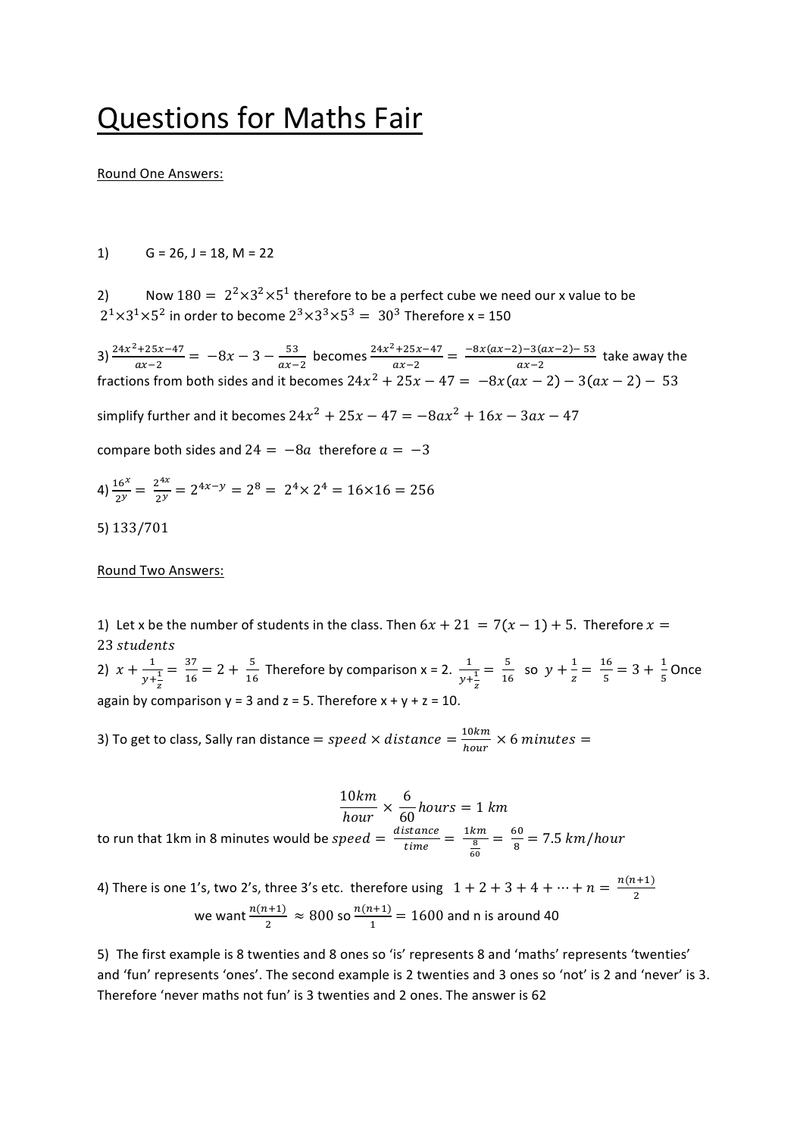# **Questions for Maths Fair**

#### Round One Answers:

1)  $G = 26$ ,  $J = 18$ ,  $M = 22$ 

2) Now  $180 = 2^2 \times 3^2 \times 5^1$  therefore to be a perfect cube we need our x value to be  $2^{1} \times 3^{1} \times 5^{2}$  in order to become  $2^{3} \times 3^{3} \times 5^{3} = 30^{3}$  Therefore x = 150

3)  $\frac{24x^2+25x-47}{ax-2} = -8x - 3 - \frac{53}{ax-2}$  becomes  $\frac{24x^2+25x-47}{ax-2} = \frac{-8x(ax-2)-3(ax-2)-53}{ax-2}$  take away the fractions from both sides and it becomes 24 $x^2 + 25x - 47 = -8x (ax - 2) - 3 (ax - 2) - 53$ 

simplify further and it becomes  $24x^2 + 25x - 47 = -8ax^2 + 16x - 3ax - 47$ 

compare both sides and  $24 = -8a$  therefore  $a = -3$ 

4) 
$$
\frac{16^x}{2^y} = \frac{2^{4x}}{2^y} = 2^{4x-y} = 2^8 = 2^4 \times 2^4 = 16 \times 16 = 256
$$

5) 133/701

#### Round Two Answers:

1) Let x be the number of students in the class. Then  $6x + 21 = 7(x - 1) + 5$ . Therefore  $x =$ 23 students

2)  $x + \frac{1}{y + \frac{1}{z}}$  $=\frac{37}{16}$  = 2 +  $\frac{5}{16}$  Therefore by comparison x = 2.  $\frac{1}{y+\frac{1}{z}}$  $=\frac{5}{16}$  so  $y + \frac{1}{z} = \frac{16}{5} = 3 + \frac{1}{5}$ Once again by comparison  $y = 3$  and  $z = 5$ . Therefore  $x + y + z = 10$ .

3) To get to class, Sally ran distance  $=$   $speed \times distance = \frac{10km}{hour} \times 6\ minutes =$ 

10km  $\frac{1}{hour}$   $\times$ 6  $\frac{6}{60}$  hours = 1 km to run that 1km in 8 minutes would be  $speed = \frac{distance}{time} = \frac{1km}{\frac{8}{\epsilon}}$ 60  $=\frac{60}{8} = 7.5 \ km/hour$ 

4) There is one 1's, two 2's, three 3's etc. therefore using  $\;\;1+2+3+4+\cdots+n=\frac{n(n+1)}{2}$ 

we want 
$$
\frac{n(n+1)}{2} \approx 800
$$
 so  $\frac{n(n+1)}{1} = 1600$  and n is around 40

5) The first example is 8 twenties and 8 ones so 'is' represents 8 and 'maths' represents 'twenties' and 'fun' represents 'ones'. The second example is 2 twenties and 3 ones so 'not' is 2 and 'never' is 3. Therefore 'never maths not fun' is 3 twenties and 2 ones. The answer is 62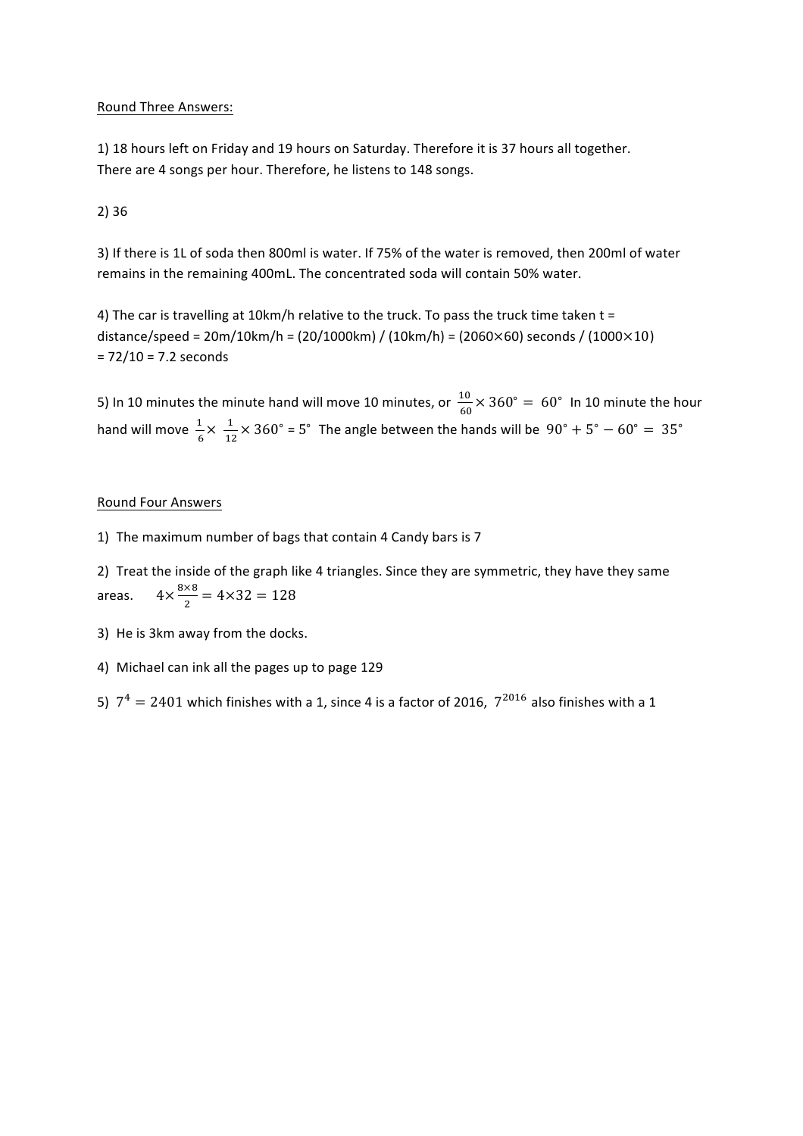# Round Three Answers:

1) 18 hours left on Friday and 19 hours on Saturday. Therefore it is 37 hours all together. There are 4 songs per hour. Therefore, he listens to 148 songs.

### 2) 36

3) If there is 1L of soda then 800ml is water. If 75% of the water is removed, then 200ml of water remains in the remaining 400mL. The concentrated soda will contain 50% water.

4) The car is travelling at 10km/h relative to the truck. To pass the truck time taken  $t =$ distance/speed =  $20m/10km/h = (20/1000km) / (10km/h) = (2060 \times 60)$  seconds / (1000 $\times$ 10)  $= 72/10 = 7.2$  seconds

5) In 10 minutes the minute hand will move 10 minutes, or  $\frac{10}{60}\times 360^\circ =\ 60^\circ\,$  In 10 minute the hour hand will move  $\frac{1}{6} \times \frac{1}{12}$  $\frac{1}{12}$  × 360° = 5° The angle between the hands will be  $90^\circ + 5^\circ - 60^\circ = 35^\circ$ 

#### **Round Four Answers**

1) The maximum number of bags that contain 4 Candy bars is 7

2) Treat the inside of the graph like 4 triangles. Since they are symmetric, they have they same areas.  $\frac{8\times8}{2}$  = 4×32 = 128

- 3) He is 3km away from the docks.
- 4) Michael can ink all the pages up to page 129
- 5)  $7^4 = 2401$  which finishes with a 1, since 4 is a factor of 2016,  $7^{2016}$  also finishes with a 1